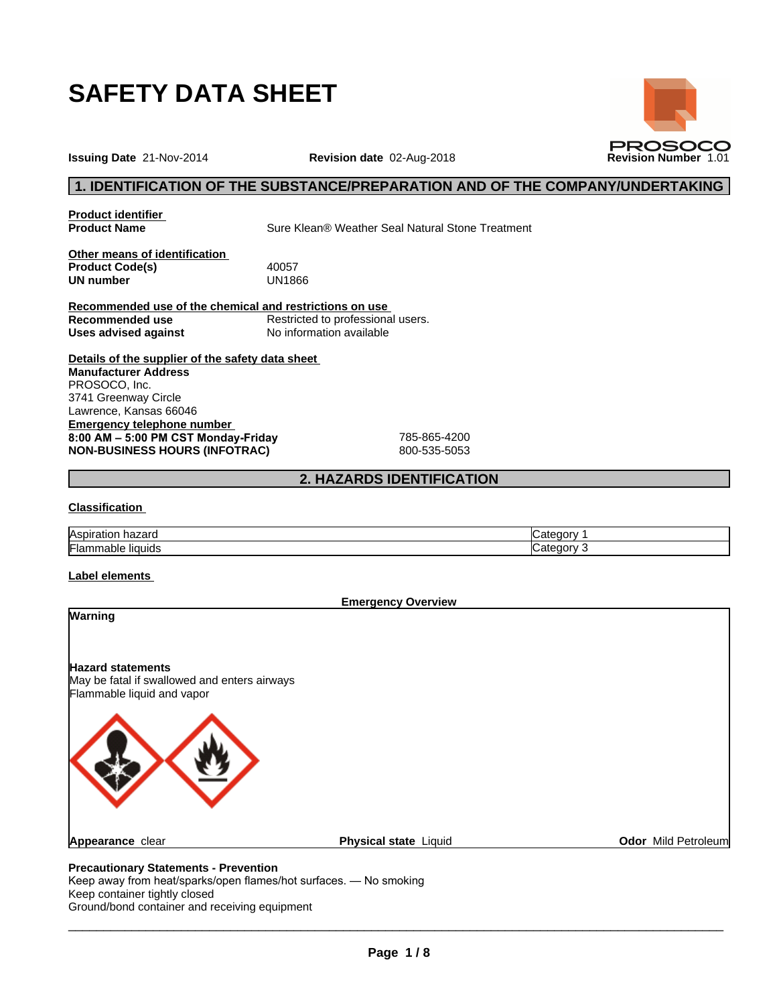

**Issuing Date** 21-Nov-2014 **Revision date** 02-Aug-2018 **Revision Number** 1.01

# **1. IDENTIFICATION OF THE SUBSTANCE/PREPARATION AND OF THE COMPANY/UNDERTAKING**

**PROSOCO** 

**Product identifier**

**Product Name** Sure Klean® Weather Seal Natural Stone Treatment

**Other means of identification Product Code(s)** 40057<br> **UN number** UN1866 **UN number** 

**Recommended use of the chemical and restrictions on use Recommended use**<br> **Uses advised against**<br>
No information available **No information available** 

**Details of the supplier of the safety data sheet Emergency telephone number 8:00AM–5:00PMCSTMonday-Friday** 785-865-4200 **NON-BUSINESS HOURS (INFOTRAC)** 800-535-5053 **Manufacturer Address** PROSOCO, Inc. 3741 Greenway Circle Lawrence, Kansas 66046

# **2. HAZARDS IDENTIFICATION**

#### **Classification**

| Aspirat <sup>i</sup><br>-------<br>nazaru<br>auor | -----<br>⇔atedor∨    |
|---------------------------------------------------|----------------------|
| <br>liauids<br>∴lar<br>iabie<br>.                 | ----<br>ate.<br>norv |

### **Label elements**

|                                                                                                        | <b>Emergency Overview</b> |                     |
|--------------------------------------------------------------------------------------------------------|---------------------------|---------------------|
| Warning                                                                                                |                           |                     |
| <b>Hazard statements</b><br>May be fatal if swallowed and enters airways<br>Flammable liquid and vapor |                           |                     |
|                                                                                                        |                           |                     |
| Appearance clear                                                                                       | Physical state Liquid     | Odor Mild Petroleum |

Keep away from heat/sparks/open flames/hot surfaces. — No smoking Keep container tightly closed Ground/bond container and receiving equipment

 $\overline{\phantom{a}}$  ,  $\overline{\phantom{a}}$  ,  $\overline{\phantom{a}}$  ,  $\overline{\phantom{a}}$  ,  $\overline{\phantom{a}}$  ,  $\overline{\phantom{a}}$  ,  $\overline{\phantom{a}}$  ,  $\overline{\phantom{a}}$  ,  $\overline{\phantom{a}}$  ,  $\overline{\phantom{a}}$  ,  $\overline{\phantom{a}}$  ,  $\overline{\phantom{a}}$  ,  $\overline{\phantom{a}}$  ,  $\overline{\phantom{a}}$  ,  $\overline{\phantom{a}}$  ,  $\overline{\phantom{a}}$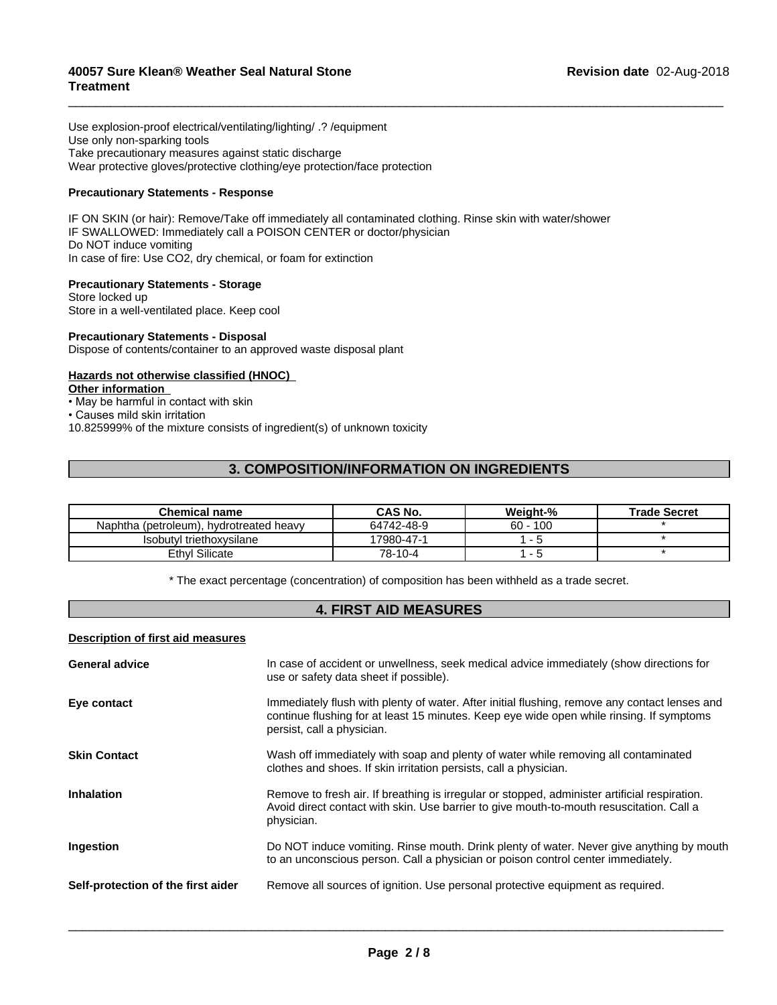Use explosion-proof electrical/ventilating/lighting/ .? /equipment Use only non-sparking tools Take precautionary measures against static discharge Wear protective gloves/protective clothing/eye protection/face protection

# **Precautionary Statements - Response**

IF ON SKIN (or hair): Remove/Take off immediately all contaminated clothing. Rinse skin with water/shower IF SWALLOWED: Immediately call a POISON CENTER or doctor/physician Do NOT induce vomiting In case of fire: Use CO2, dry chemical, or foam for extinction

### **Precautionary Statements - Storage**

Store locked up Store in a well-ventilated place. Keep cool

### **Precautionary Statements - Disposal**

Dispose of contents/container to an approved waste disposal plant

# **Hazards not otherwise classified (HNOC)**

#### **Other information**

- May be harmful in contact with skin $\,$
- Causes mild skin irritation

10.825999% of the mixture consists of ingredient(s) of unknown toxicity

# **3. COMPOSITION/INFORMATION ON INGREDIENTS**

 $\overline{\phantom{a}}$  ,  $\overline{\phantom{a}}$  ,  $\overline{\phantom{a}}$  ,  $\overline{\phantom{a}}$  ,  $\overline{\phantom{a}}$  ,  $\overline{\phantom{a}}$  ,  $\overline{\phantom{a}}$  ,  $\overline{\phantom{a}}$  ,  $\overline{\phantom{a}}$  ,  $\overline{\phantom{a}}$  ,  $\overline{\phantom{a}}$  ,  $\overline{\phantom{a}}$  ,  $\overline{\phantom{a}}$  ,  $\overline{\phantom{a}}$  ,  $\overline{\phantom{a}}$  ,  $\overline{\phantom{a}}$ 

| <b>Chemical name</b>                    | CAS No.    | Weight-%   | <b>Trade Secret</b> |
|-----------------------------------------|------------|------------|---------------------|
| Naphtha (petroleum), hydrotreated heavy | 64742-48-9 | $60 - 100$ |                     |
| Isobutyl triethoxysilane                | 17980-47-1 |            |                     |
| Ethyl Silicate                          | 78-10-4    |            |                     |

\* The exact percentage (concentration) of composition has been withheld as a trade secret.

# **4. FIRST AID MEASURES**

### **Description of first aid measures**

| <b>General advice</b>              | In case of accident or unwellness, seek medical advice immediately (show directions for<br>use or safety data sheet if possible).                                                                                       |
|------------------------------------|-------------------------------------------------------------------------------------------------------------------------------------------------------------------------------------------------------------------------|
| Eye contact                        | Immediately flush with plenty of water. After initial flushing, remove any contact lenses and<br>continue flushing for at least 15 minutes. Keep eye wide open while rinsing. If symptoms<br>persist, call a physician. |
| <b>Skin Contact</b>                | Wash off immediately with soap and plenty of water while removing all contaminated<br>clothes and shoes. If skin irritation persists, call a physician.                                                                 |
| <b>Inhalation</b>                  | Remove to fresh air. If breathing is irregular or stopped, administer artificial respiration.<br>Avoid direct contact with skin. Use barrier to give mouth-to-mouth resuscitation. Call a<br>physician.                 |
| Ingestion                          | Do NOT induce vomiting. Rinse mouth. Drink plenty of water. Never give anything by mouth<br>to an unconscious person. Call a physician or poison control center immediately.                                            |
| Self-protection of the first aider | Remove all sources of ignition. Use personal protective equipment as required.                                                                                                                                          |
|                                    |                                                                                                                                                                                                                         |

 $\overline{\phantom{a}}$  ,  $\overline{\phantom{a}}$  ,  $\overline{\phantom{a}}$  ,  $\overline{\phantom{a}}$  ,  $\overline{\phantom{a}}$  ,  $\overline{\phantom{a}}$  ,  $\overline{\phantom{a}}$  ,  $\overline{\phantom{a}}$  ,  $\overline{\phantom{a}}$  ,  $\overline{\phantom{a}}$  ,  $\overline{\phantom{a}}$  ,  $\overline{\phantom{a}}$  ,  $\overline{\phantom{a}}$  ,  $\overline{\phantom{a}}$  ,  $\overline{\phantom{a}}$  ,  $\overline{\phantom{a}}$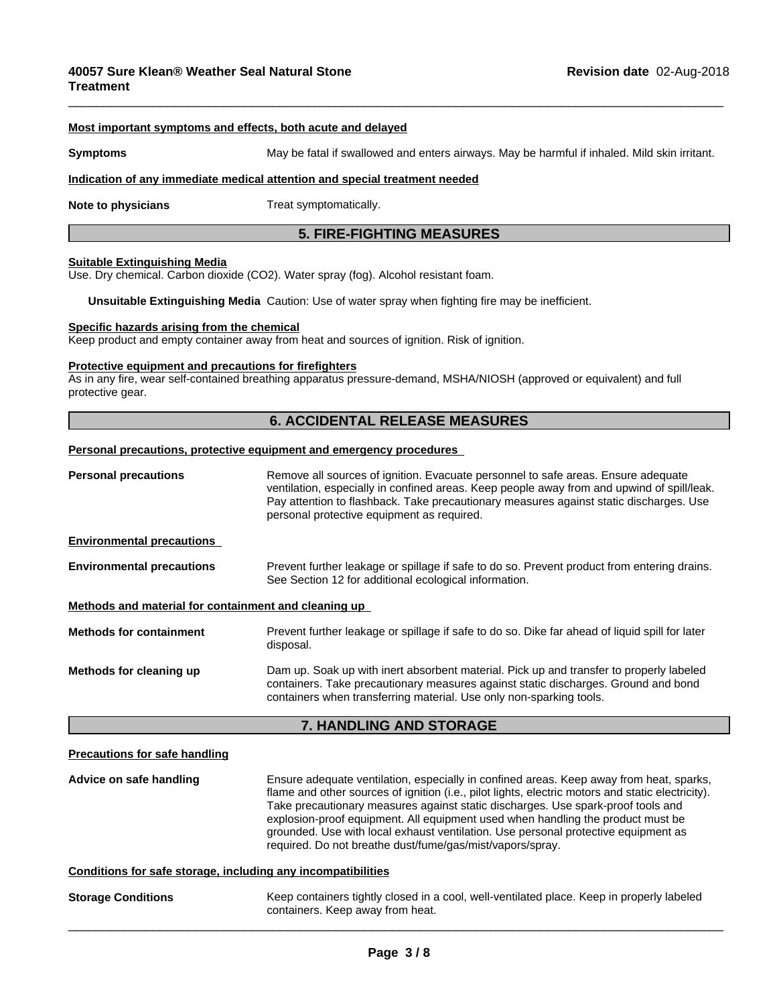#### **Most important symptoms and effects, both acute and delayed**

**Symptoms** May be fatal if swallowed and enters airways. May be harmful if inhaled. Mild skin irritant.

 $\overline{\phantom{a}}$  ,  $\overline{\phantom{a}}$  ,  $\overline{\phantom{a}}$  ,  $\overline{\phantom{a}}$  ,  $\overline{\phantom{a}}$  ,  $\overline{\phantom{a}}$  ,  $\overline{\phantom{a}}$  ,  $\overline{\phantom{a}}$  ,  $\overline{\phantom{a}}$  ,  $\overline{\phantom{a}}$  ,  $\overline{\phantom{a}}$  ,  $\overline{\phantom{a}}$  ,  $\overline{\phantom{a}}$  ,  $\overline{\phantom{a}}$  ,  $\overline{\phantom{a}}$  ,  $\overline{\phantom{a}}$ 

#### **Indication of any immediate medical attention and special treatment needed**

**Note to physicians** Treat symptomatically.

# **5. FIRE-FIGHTING MEASURES**

#### **Suitable Extinguishing Media**

Use. Dry chemical. Carbon dioxide (CO2). Water spray (fog). Alcohol resistant foam.

**Unsuitable Extinguishing Media** Caution: Use of water spray when fighting fire may be inefficient.

#### **Specific hazards arising from the chemical**

Keep product and empty container away from heat and sources of ignition. Risk of ignition.

#### **Protective equipment and precautions for firefighters**

As in any fire, wear self-contained breathing apparatus pressure-demand, MSHA/NIOSH (approved or equivalent) and full protective gear.

# **6. ACCIDENTAL RELEASE MEASURES**

#### **Personal precautions, protective equipment and emergency procedures**

| <b>Personal precautions</b>                          | Remove all sources of ignition. Evacuate personnel to safe areas. Ensure adequate<br>ventilation, especially in confined areas. Keep people away from and upwind of spill/leak.<br>Pay attention to flashback. Take precautionary measures against static discharges. Use<br>personal protective equipment as required. |
|------------------------------------------------------|-------------------------------------------------------------------------------------------------------------------------------------------------------------------------------------------------------------------------------------------------------------------------------------------------------------------------|
| <b>Environmental precautions</b>                     |                                                                                                                                                                                                                                                                                                                         |
| <b>Environmental precautions</b>                     | Prevent further leakage or spillage if safe to do so. Prevent product from entering drains.<br>See Section 12 for additional ecological information.                                                                                                                                                                    |
| Methods and material for containment and cleaning up |                                                                                                                                                                                                                                                                                                                         |
| <b>Methods for containment</b>                       | Prevent further leakage or spillage if safe to do so. Dike far ahead of liquid spill for later<br>disposal.                                                                                                                                                                                                             |
| Methods for cleaning up                              | Dam up. Soak up with inert absorbent material. Pick up and transfer to properly labeled<br>containers. Take precautionary measures against static discharges. Ground and bond<br>containers when transferring material. Use only non-sparking tools.                                                                    |
|                                                      | <b>7. HANDLING AND STORAGE</b>                                                                                                                                                                                                                                                                                          |
| <b>Precautions for safe handling</b>                 |                                                                                                                                                                                                                                                                                                                         |
| Advice on safe handling                              | Ensure adequate ventilation, especially in confined areas. Keep away from heat, sparks,<br>flame and other sources of ignition $(i \in n]$ pilot lights electric motors and static electricity)                                                                                                                         |

flame and other sources of ignition (i.e., pilot lights, electric motors and static electricity). Take precautionary measures against static discharges. Use spark-proof tools and explosion-proof equipment. All equipment used when handling the product must be grounded. Use with local exhaust ventilation. Use personal protective equipment as required. Do not breathe dust/fume/gas/mist/vapors/spray.

 $\overline{\phantom{a}}$  ,  $\overline{\phantom{a}}$  ,  $\overline{\phantom{a}}$  ,  $\overline{\phantom{a}}$  ,  $\overline{\phantom{a}}$  ,  $\overline{\phantom{a}}$  ,  $\overline{\phantom{a}}$  ,  $\overline{\phantom{a}}$  ,  $\overline{\phantom{a}}$  ,  $\overline{\phantom{a}}$  ,  $\overline{\phantom{a}}$  ,  $\overline{\phantom{a}}$  ,  $\overline{\phantom{a}}$  ,  $\overline{\phantom{a}}$  ,  $\overline{\phantom{a}}$  ,  $\overline{\phantom{a}}$ 

### **Conditions for safe storage, including any incompatibilities**

**Storage Conditions** Keep containers tightly closed in a cool, well-ventilated place. Keep in properly labeled containers. Keep away from heat.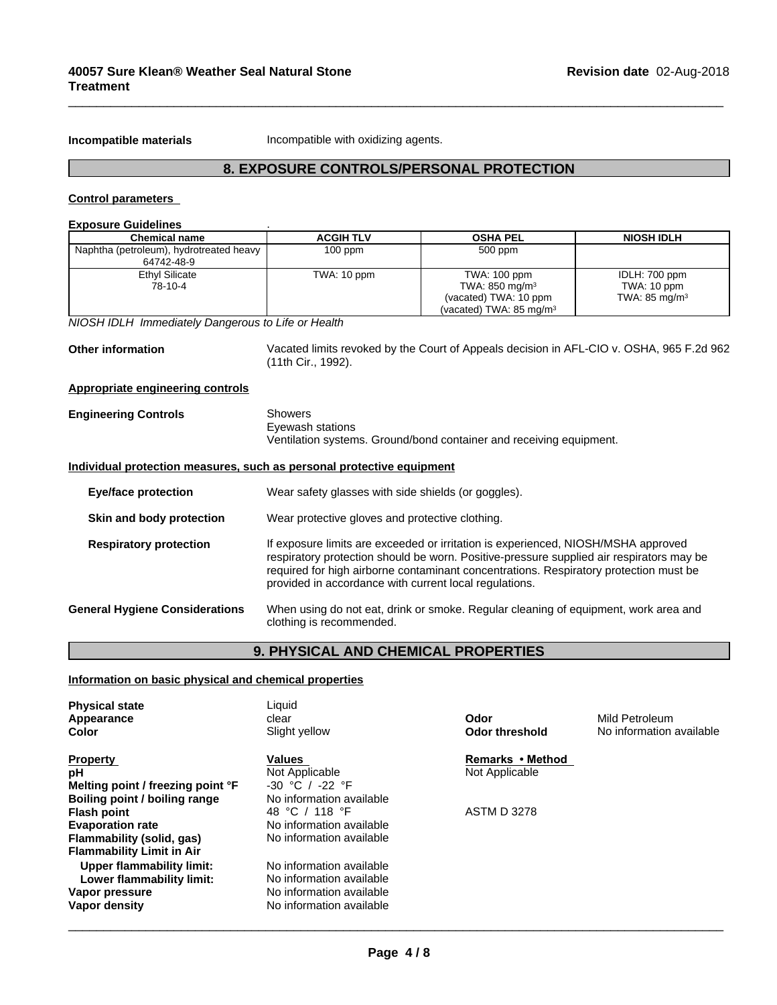**Incompatible materials Incompatible with oxidizing agents.** 

# **8. EXPOSURE CONTROLS/PERSONAL PROTECTION**

 $\overline{\phantom{a}}$  ,  $\overline{\phantom{a}}$  ,  $\overline{\phantom{a}}$  ,  $\overline{\phantom{a}}$  ,  $\overline{\phantom{a}}$  ,  $\overline{\phantom{a}}$  ,  $\overline{\phantom{a}}$  ,  $\overline{\phantom{a}}$  ,  $\overline{\phantom{a}}$  ,  $\overline{\phantom{a}}$  ,  $\overline{\phantom{a}}$  ,  $\overline{\phantom{a}}$  ,  $\overline{\phantom{a}}$  ,  $\overline{\phantom{a}}$  ,  $\overline{\phantom{a}}$  ,  $\overline{\phantom{a}}$ 

# **Control parameters**

# **Exposure Guidelines** .

| <b>Chemical name</b>                                                  | <b>ACGIH TLV</b>                                       | <b>OSHA PEL</b>                                                                          | <b>NIOSH IDLH</b>        |
|-----------------------------------------------------------------------|--------------------------------------------------------|------------------------------------------------------------------------------------------|--------------------------|
| Naphtha (petroleum), hydrotreated heavy<br>64742-48-9                 | $100$ ppm                                              | 500 ppm                                                                                  |                          |
| <b>Ethyl Silicate</b>                                                 | TWA: 10 ppm                                            | TWA: 100 ppm                                                                             | IDLH: 700 ppm            |
| 78-10-4                                                               |                                                        | TWA: 850 mg/m <sup>3</sup>                                                               | TWA: 10 ppm              |
|                                                                       |                                                        | (vacated) TWA: 10 ppm                                                                    | TWA: $85 \text{ mg/m}^3$ |
|                                                                       |                                                        | (vacated) TWA: $85 \text{ mg/m}^3$                                                       |                          |
| NIOSH IDLH Immediately Dangerous to Life or Health                    |                                                        |                                                                                          |                          |
| <b>Other information</b>                                              |                                                        | Vacated limits revoked by the Court of Appeals decision in AFL-CIO v. OSHA, 965 F.2d 962 |                          |
|                                                                       | (11th Cir., 1992).                                     |                                                                                          |                          |
| <b>Appropriate engineering controls</b>                               |                                                        |                                                                                          |                          |
| <b>Engineering Controls</b>                                           | <b>Showers</b>                                         |                                                                                          |                          |
|                                                                       | Eyewash stations                                       |                                                                                          |                          |
|                                                                       |                                                        | Ventilation systems. Ground/bond container and receiving equipment.                      |                          |
|                                                                       |                                                        |                                                                                          |                          |
| Individual protection measures, such as personal protective equipment |                                                        |                                                                                          |                          |
| <b>Eye/face protection</b>                                            | Wear safety glasses with side shields (or goggles).    |                                                                                          |                          |
|                                                                       |                                                        |                                                                                          |                          |
| Skin and body protection                                              | Wear protective gloves and protective clothing.        |                                                                                          |                          |
| <b>Respiratory protection</b>                                         |                                                        | If exposure limits are exceeded or irritation is experienced, NIOSH/MSHA approved        |                          |
|                                                                       |                                                        | respiratory protection should be worn. Positive-pressure supplied air respirators may be |                          |
|                                                                       |                                                        | required for high airborne contaminant concentrations. Respiratory protection must be    |                          |
|                                                                       | provided in accordance with current local regulations. |                                                                                          |                          |
| <b>General Hygiene Considerations</b>                                 |                                                        | When using do not eat, drink or smoke. Regular cleaning of equipment, work area and      |                          |
|                                                                       | clothing is recommended.                               |                                                                                          |                          |
|                                                                       |                                                        |                                                                                          |                          |
|                                                                       |                                                        |                                                                                          |                          |

# **9. PHYSICAL AND CHEMICAL PROPERTIES**

**Information on basic physical and chemical properties**

| <b>Physical state</b><br>Appearance<br>Color                       | Liquid<br>clear<br>Slight yellow      | Odor<br><b>Odor threshold</b> | Mild Petroleum<br>No information available |
|--------------------------------------------------------------------|---------------------------------------|-------------------------------|--------------------------------------------|
| <b>Property</b>                                                    | Values                                | Remarks • Method              |                                            |
| рH                                                                 | Not Applicable<br>$-30$ °C / $-22$ °F | Not Applicable                |                                            |
| Melting point / freezing point °F<br>Boiling point / boiling range | No information available              |                               |                                            |
| <b>Flash point</b>                                                 | 48 °C / 118 °F                        | <b>ASTM D 3278</b>            |                                            |
| <b>Evaporation rate</b>                                            | No information available              |                               |                                            |
| Flammability (solid, gas)                                          | No information available              |                               |                                            |
| <b>Flammability Limit in Air</b>                                   |                                       |                               |                                            |
| Upper flammability limit:                                          | No information available              |                               |                                            |
| Lower flammability limit:                                          | No information available              |                               |                                            |
| Vapor pressure                                                     | No information available              |                               |                                            |
| Vapor density                                                      | No information available              |                               |                                            |
|                                                                    |                                       |                               |                                            |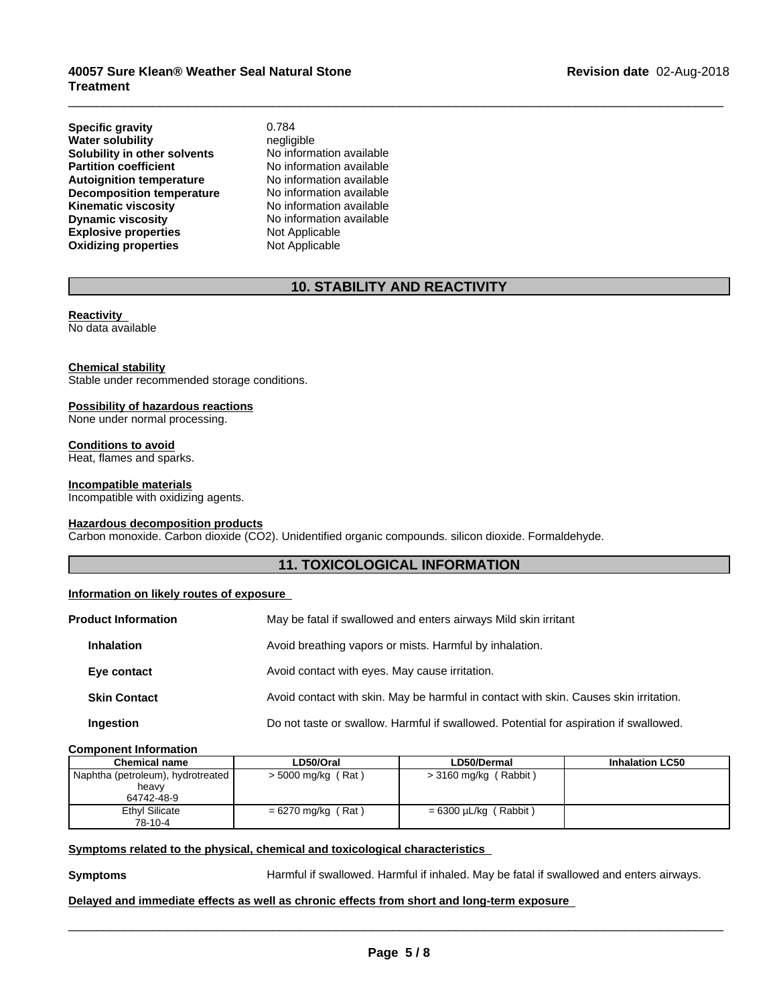**Explosive properties** Not Applicable<br> **Oxidizing properties** Not Applicable **Oxidizing properties Specific gravity** 0.784 **Water solubility**<br> **Solubility in other solvents** Mo information available **Solubility in other solvents** No information available<br> **Partition coefficient** No information available **Partition coefficient**<br> **Autoignition temperature**<br>
No information available **Autoignition temperature Decomposition temperature** No information available<br> **Kinematic viscosity** No information available **Kinematic viscosity**<br> **Community** No information available<br>
No information available

**Dynamic viscosity** No information available

# **10. STABILITY AND REACTIVITY**

 $\overline{\phantom{a}}$  ,  $\overline{\phantom{a}}$  ,  $\overline{\phantom{a}}$  ,  $\overline{\phantom{a}}$  ,  $\overline{\phantom{a}}$  ,  $\overline{\phantom{a}}$  ,  $\overline{\phantom{a}}$  ,  $\overline{\phantom{a}}$  ,  $\overline{\phantom{a}}$  ,  $\overline{\phantom{a}}$  ,  $\overline{\phantom{a}}$  ,  $\overline{\phantom{a}}$  ,  $\overline{\phantom{a}}$  ,  $\overline{\phantom{a}}$  ,  $\overline{\phantom{a}}$  ,  $\overline{\phantom{a}}$ 

# **Reactivity**

No data available

#### **Chemical stability**

Stable under recommended storage conditions.

#### **Possibility of hazardous reactions**

None under normal processing.

#### **Conditions to avoid**

Heat, flames and sparks.

#### **Incompatible materials**

Incompatible with oxidizing agents.

#### **Hazardous decomposition products**

Carbon monoxide. Carbon dioxide (CO2). Unidentified organic compounds. silicon dioxide. Formaldehyde.

# **11. TOXICOLOGICAL INFORMATION**

# **Information on likely routes of exposure**

| <b>Product Information</b> | May be fatal if swallowed and enters airways Mild skin irritant                       |  |
|----------------------------|---------------------------------------------------------------------------------------|--|
| <b>Inhalation</b>          | Avoid breathing vapors or mists. Harmful by inhalation.                               |  |
| Eye contact                | Avoid contact with eyes. May cause irritation.                                        |  |
| <b>Skin Contact</b>        | Avoid contact with skin. May be harmful in contact with skin. Causes skin irritation. |  |
| Ingestion                  | Do not taste or swallow. Harmful if swallowed. Potential for aspiration if swallowed. |  |

#### **Component Information**

| <b>Chemical name</b>              | LD50/Oral            | LD50/Dermal                     | <b>Inhalation LC50</b> |
|-----------------------------------|----------------------|---------------------------------|------------------------|
| Naphtha (petroleum), hydrotreated | > 5000 mg/kg (Rat)   | (Rabbit)<br>> 3160 mg/kg (      |                        |
| heavy                             |                      |                                 |                        |
| 64742-48-9                        |                      |                                 |                        |
| Ethyl Silicate                    | $= 6270$ mg/kg (Rat) | $= 6300 \mu L/kg$ (<br>(Rabbit) |                        |
| 78-10-4                           |                      |                                 |                        |

## **Symptoms** related to the physical, chemical and toxicological characteristics

**Symptoms Harmful if swallowed. Harmful if inhaled. May be fatal if swallowed and enters airways.** 

 $\overline{\phantom{a}}$  ,  $\overline{\phantom{a}}$  ,  $\overline{\phantom{a}}$  ,  $\overline{\phantom{a}}$  ,  $\overline{\phantom{a}}$  ,  $\overline{\phantom{a}}$  ,  $\overline{\phantom{a}}$  ,  $\overline{\phantom{a}}$  ,  $\overline{\phantom{a}}$  ,  $\overline{\phantom{a}}$  ,  $\overline{\phantom{a}}$  ,  $\overline{\phantom{a}}$  ,  $\overline{\phantom{a}}$  ,  $\overline{\phantom{a}}$  ,  $\overline{\phantom{a}}$  ,  $\overline{\phantom{a}}$ 

### **Delayed and immediate effects as well as chronic effects from short and long-term exposure**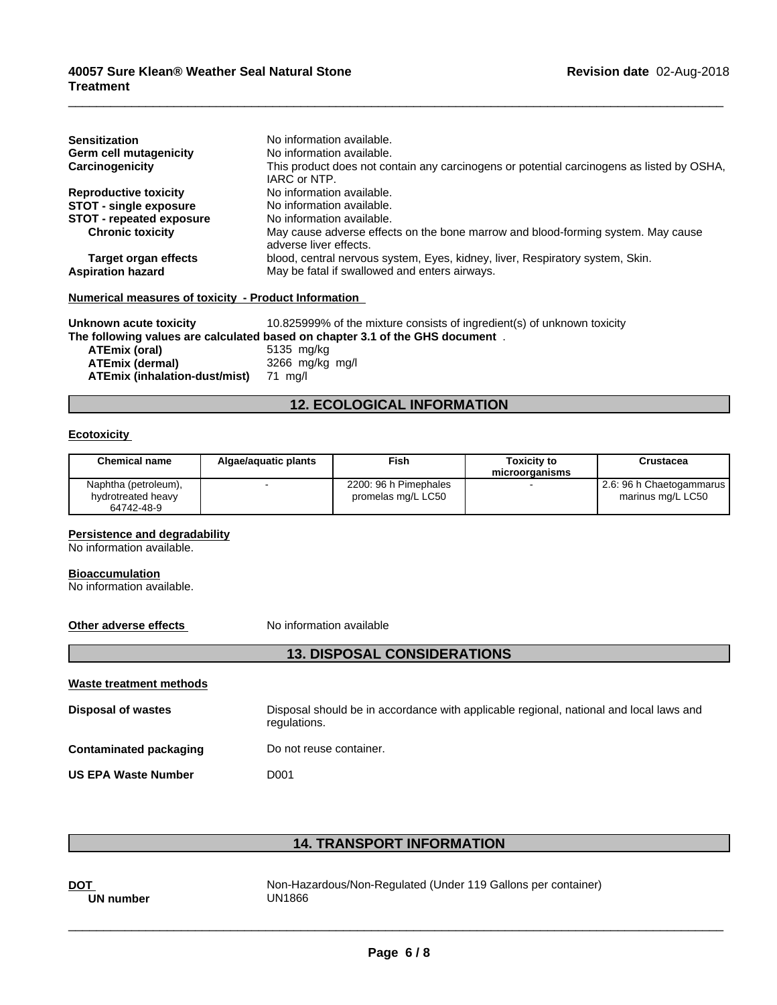| <b>Sensitization</b>                                 | No information available.                                                                                  |
|------------------------------------------------------|------------------------------------------------------------------------------------------------------------|
| <b>Germ cell mutagenicity</b>                        | No information available.                                                                                  |
| Carcinogenicity                                      | This product does not contain any carcinogens or potential carcinogens as listed by OSHA,<br>IARC or NTP.  |
| <b>Reproductive toxicity</b>                         | No information available.                                                                                  |
| <b>STOT - single exposure</b>                        | No information available.                                                                                  |
| <b>STOT - repeated exposure</b>                      | No information available.                                                                                  |
| <b>Chronic toxicity</b>                              | May cause adverse effects on the bone marrow and blood-forming system. May cause<br>adverse liver effects. |
| Target organ effects                                 | blood, central nervous system, Eyes, kidney, liver, Respiratory system, Skin.                              |
| <b>Aspiration hazard</b>                             | May be fatal if swallowed and enters airways.                                                              |
| Numerical measures of toxicity - Product Information |                                                                                                            |

 $\overline{\phantom{a}}$  ,  $\overline{\phantom{a}}$  ,  $\overline{\phantom{a}}$  ,  $\overline{\phantom{a}}$  ,  $\overline{\phantom{a}}$  ,  $\overline{\phantom{a}}$  ,  $\overline{\phantom{a}}$  ,  $\overline{\phantom{a}}$  ,  $\overline{\phantom{a}}$  ,  $\overline{\phantom{a}}$  ,  $\overline{\phantom{a}}$  ,  $\overline{\phantom{a}}$  ,  $\overline{\phantom{a}}$  ,  $\overline{\phantom{a}}$  ,  $\overline{\phantom{a}}$  ,  $\overline{\phantom{a}}$ 

**Unknown acute toxicity** 10.825999% of the mixture consists of ingredient(s) of unknown toxicity **The following values are calculated based on chapter 3.1 of the GHS document** .

**ATEmix (oral)**<br>**ATEmix (dermal) ATEmix (dermal)**3266 mg/kg mg/l **ATEmix (inhalation-dust/mist)** 

# **12. ECOLOGICAL INFORMATION**

#### **Ecotoxicity**

| <b>Chemical name</b>                                     | Algae/aguatic plants | Fish                                        | Toxicitv to<br>microorganisms | Crustacea                                     |
|----------------------------------------------------------|----------------------|---------------------------------------------|-------------------------------|-----------------------------------------------|
| Naphtha (petroleum),<br>hydrotreated heavy<br>64742-48-9 |                      | 2200: 96 h Pimephales<br>promelas mg/L LC50 |                               | 2.6: 96 h Chaetogammarus<br>marinus mg/L LC50 |

#### **Persistence and degradability**

No information available.

#### **Bioaccumulation**

No information available.

# **Other adverse effects** No information available

| Waste treatment methods |                                                                                                        |
|-------------------------|--------------------------------------------------------------------------------------------------------|
| Disposal of wastes      | Disposal should be in accordance with applicable regional, national and local laws and<br>regulations. |
| Contaminated packaging  | Do not reuse container.                                                                                |
| US EPA Waste Number     | D001                                                                                                   |

**13. DISPOSAL CONSIDERATIONS**

# **14. TRANSPORT INFORMATION**

UN number UN1866

**DOT** Non-Hazardous/Non-Regulated (Under 119 Gallons per container)

 $\overline{\phantom{a}}$  ,  $\overline{\phantom{a}}$  ,  $\overline{\phantom{a}}$  ,  $\overline{\phantom{a}}$  ,  $\overline{\phantom{a}}$  ,  $\overline{\phantom{a}}$  ,  $\overline{\phantom{a}}$  ,  $\overline{\phantom{a}}$  ,  $\overline{\phantom{a}}$  ,  $\overline{\phantom{a}}$  ,  $\overline{\phantom{a}}$  ,  $\overline{\phantom{a}}$  ,  $\overline{\phantom{a}}$  ,  $\overline{\phantom{a}}$  ,  $\overline{\phantom{a}}$  ,  $\overline{\phantom{a}}$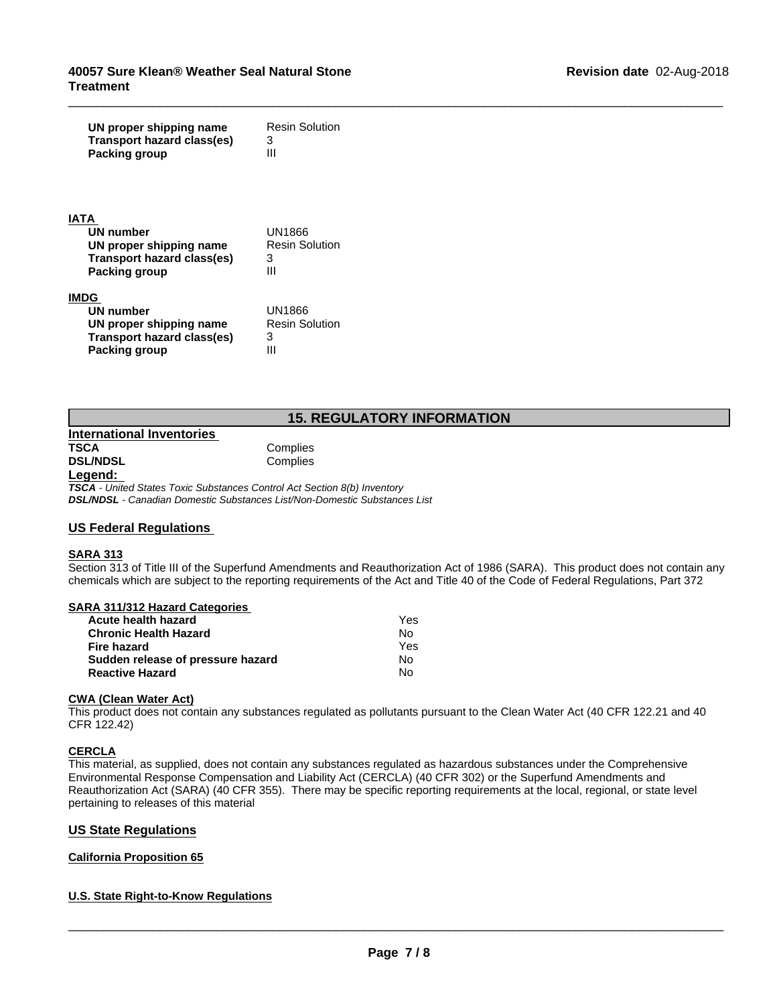| UN proper shipping name<br><b>Transport hazard class(es)</b><br><b>Packing group</b>                                   | <b>Resin Solution</b><br>3<br>Ш                  |
|------------------------------------------------------------------------------------------------------------------------|--------------------------------------------------|
| <b>ATA</b><br><b>UN number</b><br>UN proper shipping name<br><b>Transport hazard class(es)</b><br><b>Packing group</b> | <b>UN1866</b><br><b>Resin Solution</b><br>3<br>Ш |
| <b>IMDG</b><br><b>UN number</b><br>UN proper shipping name<br><b>Transport hazard class(es)</b><br>Packing group       | <b>UN1866</b><br><b>Resin Solution</b><br>3<br>Ш |
|                                                                                                                        | <b>15. REGULATORY INFORMATION</b>                |
| <b>International Inventories</b><br>TSCA<br><b>DSL/NDSL</b><br>l ogond:                                                | Complies<br>Complies                             |

 $\_$  ,  $\_$  ,  $\_$  ,  $\_$  ,  $\_$  ,  $\_$  ,  $\_$  ,  $\_$  ,  $\_$  ,  $\_$  ,  $\_$  ,  $\_$  ,  $\_$  ,  $\_$  ,  $\_$  ,  $\_$  ,  $\_$  ,  $\_$  ,  $\_$  ,  $\_$  ,  $\_$  ,  $\_$  ,  $\_$  ,  $\_$  ,  $\_$  ,  $\_$  ,  $\_$  ,  $\_$  ,  $\_$  ,  $\_$  ,  $\_$  ,  $\_$  ,  $\_$  ,  $\_$  ,  $\_$  ,  $\_$  ,  $\_$  ,

| <b>International Inventories</b> |          |
|----------------------------------|----------|
| TSCA                             | Complies |
| <b>DSL/NDSL</b>                  | Complies |
| Legend:                          |          |

*TSCA - United States Toxic Substances Control Act Section 8(b) Inventory DSL/NDSL - Canadian Domestic Substances List/Non-Domestic Substances List*

# **US Federal Regulations**

### **SARA 313**

Section 313 of Title III of the Superfund Amendments and Reauthorization Act of 1986 (SARA). This product does not contain any chemicals which are subject to the reporting requirements of the Act and Title 40 of the Code of Federal Regulations, Part 372

# **SARA 311/312 Hazard Categories**

| Acute health hazard               | Yes |  |
|-----------------------------------|-----|--|
| <b>Chronic Health Hazard</b>      | Nο  |  |
| Fire hazard                       | Yes |  |
| Sudden release of pressure hazard | No  |  |
| <b>Reactive Hazard</b>            | N٥  |  |

#### **CWA (Clean Water Act)**

This product does not contain any substances regulated as pollutants pursuant to the Clean Water Act (40 CFR 122.21 and 40 CFR 122.42)

### **CERCLA**

This material, as supplied, does not contain any substances regulated as hazardous substances under the Comprehensive Environmental Response Compensation and Liability Act (CERCLA) (40 CFR 302) or the Superfund Amendments and Reauthorization Act (SARA) (40 CFR 355). There may be specific reporting requirements at the local, regional, or state level pertaining to releases of this material

# **US State Regulations**

### **California Proposition 65**

### **U.S. State Right-to-Know Regulations**

 $\_$  ,  $\_$  ,  $\_$  ,  $\_$  ,  $\_$  ,  $\_$  ,  $\_$  ,  $\_$  ,  $\_$  ,  $\_$  ,  $\_$  ,  $\_$  ,  $\_$  ,  $\_$  ,  $\_$  ,  $\_$  ,  $\_$  ,  $\_$  ,  $\_$  ,  $\_$  ,  $\_$  ,  $\_$  ,  $\_$  ,  $\_$  ,  $\_$  ,  $\_$  ,  $\_$  ,  $\_$  ,  $\_$  ,  $\_$  ,  $\_$  ,  $\_$  ,  $\_$  ,  $\_$  ,  $\_$  ,  $\_$  ,  $\_$  ,